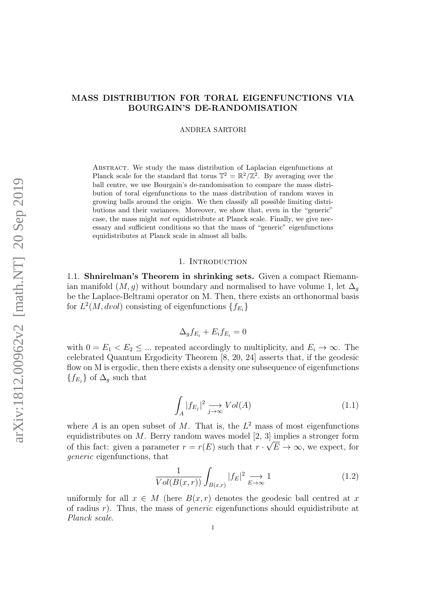# MASS DISTRIBUTION FOR TORAL EIGENFUNCTIONS VIA BOURGAIN'S DE-RANDOMISATION

ANDREA SARTORI

Abstract. We study the mass distribution of Laplacian eigenfunctions at Planck scale for the standard flat torus  $\mathbb{T}^2 = \mathbb{R}^2/\mathbb{Z}^2$ . By averaging over the ball centre, we use Bourgain's de-randomisation to compare the mass distribution of toral eigenfunctions to the mass distribution of random waves in growing balls around the origin. We then classify all possible limiting distributions and their variances. Moreover, we show that, even in the "generic" case, the mass might not equidistribute at Planck scale. Finally, we give necessary and sufficient conditions so that the mass of "generic" eigenfunctions equidistributes at Planck scale in almost all balls.

# 1. INTRODUCTION

1.1. Shnirelman's Theorem in shrinking sets. Given a compact Riemannian manifold  $(M, g)$  without boundary and normalised to have volume 1, let  $\Delta_g$ be the Laplace-Beltrami operator on M. Then, there exists an orthonormal basis for  $L^2(M,dvol)$  consisting of eigenfunctions  $\{f_{E_i}\}\$ 

$$
\Delta_g f_{E_i} + E_i f_{E_i} = 0
$$

with  $0 = E_1 < E_2 \leq \dots$  repeated accordingly to multiplicity, and  $E_i \to \infty$ . The celebrated Quantum Ergodicity Theorem [\[8,](#page-18-0) [20,](#page-18-1) [24\]](#page-18-2) asserts that, if the geodesic flow on M is ergodic, then there exists a density one subsequence of eigenfunctions  ${f_{E_j}}$  of  $\Delta_g$  such that

<span id="page-0-0"></span>
$$
\int_{A} |f_{E_j}|^2 \xrightarrow[j \to \infty]{} Vol(A) \tag{1.1}
$$

where A is an open subset of M. That is, the  $L^2$  mass of most eigenfunctions equidistributes on M. Berry random waves model [\[2,](#page-17-0) [3\]](#page-17-1) implies a stronger form of this fact: given a parameter  $r = r(E)$  such that  $r \cdot \sqrt{E} \to \infty$ , we expect, for generic eigenfunctions, that

$$
\frac{1}{Vol(B(x,r))} \int_{B(x,r)} |f_E|^2 \xrightarrow{E \to \infty} 1 \tag{1.2}
$$

uniformly for all  $x \in M$  (here  $B(x, r)$  denotes the geodesic ball centred at x of radius r). Thus, the mass of *generic* eigenfunctions should equidistribute at Planck scale.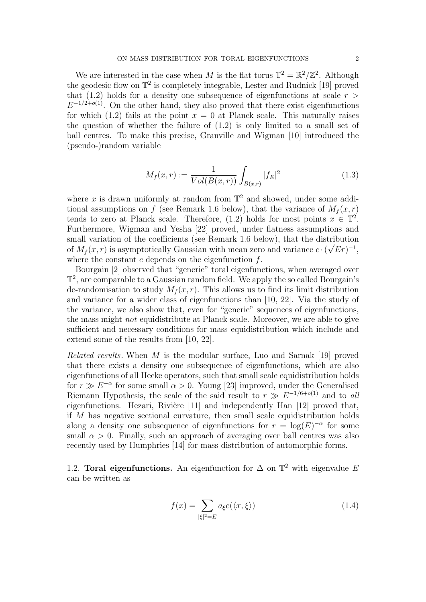We are interested in the case when M is the flat torus  $\mathbb{T}^2 = \mathbb{R}^2/\mathbb{Z}^2$ . Although the geodesic flow on T 2 is completely integrable, Lester and Rudnick [\[19\]](#page-18-3) proved that [\(1.2\)](#page-0-0) holds for a density one subsequence of eigenfunctions at scale  $r >$  $E^{-1/2+o(1)}$ . On the other hand, they also proved that there exist eigenfunctions for which [\(1.2\)](#page-0-0) fails at the point  $x = 0$  at Planck scale. This naturally raises the question of whether the failure of [\(1.2\)](#page-0-0) is only limited to a small set of ball centres. To make this precise, Granville and Wigman [\[10\]](#page-18-4) introduced the (pseudo-)random variable

<span id="page-1-1"></span>
$$
M_f(x,r) := \frac{1}{Vol(B(x,r))} \int_{B(x,r)} |f_E|^2
$$
\n(1.3)

where x is drawn uniformly at random from  $\mathbb{T}^2$  and showed, under some addi-tional assumptions on f (see Remark [1.6](#page-4-0) below), that the variance of  $M_f(x, r)$ tends to zero at Planck scale. Therefore,  $(1.2)$  holds for most points  $x \in \mathbb{T}^2$ . Furthermore, Wigman and Yesha [\[22\]](#page-18-5) proved, under flatness assumptions and small variation of the coefficients (see Remark [1.6](#page-4-0) below), that the distribution of  $M_f(x,r)$  is asymptotically Gaussian with mean zero and variance  $c \cdot (\sqrt{E}r)^{-1}$ , where the constant  $c$  depends on the eigenfunction  $f$ .

Bourgain [\[2\]](#page-17-0) observed that "generic" toral eigenfunctions, when averaged over T 2 , are comparable to a Gaussian random field. We apply the so called Bourgain's de-randomisation to study  $M_f(x, r)$ . This allows us to find its limit distribution and variance for a wider class of eigenfunctions than [\[10,](#page-18-4) [22\]](#page-18-5). Via the study of the variance, we also show that, even for "generic" sequences of eigenfunctions, the mass might not equidistribute at Planck scale. Moreover, we are able to give sufficient and necessary conditions for mass equidistribution which include and extend some of the results from [\[10,](#page-18-4) [22\]](#page-18-5).

Related results. When M is the modular surface, Luo and Sarnak [\[19\]](#page-18-3) proved that there exists a density one subsequence of eigenfunctions, which are also eigenfunctions of all Hecke operators, such that small scale equidistribution holds for  $r \gg E^{-\alpha}$  for some small  $\alpha > 0$ . Young [\[23\]](#page-18-6) improved, under the Generalised Riemann Hypothesis, the scale of the said result to  $r \gg E^{-1/6+o(1)}$  and to all eigenfunctions. Hezari, Rivière  $[11]$  and independently Han  $[12]$  proved that, if M has negative sectional curvature, then small scale equidistribution holds along a density one subsequence of eigenfunctions for  $r = \log(E)^{-\alpha}$  for some small  $\alpha > 0$ . Finally, such an approach of averaging over ball centres was also recently used by Humphries [\[14\]](#page-18-9) for mass distribution of automorphic forms.

1.2. Toral eigenfunctions. An eigenfunction for  $\Delta$  on  $\mathbb{T}^2$  with eigenvalue E can be written as

<span id="page-1-0"></span>
$$
f(x) = \sum_{|\xi|^2 = E} a_{\xi} e(\langle x, \xi \rangle)
$$
\n(1.4)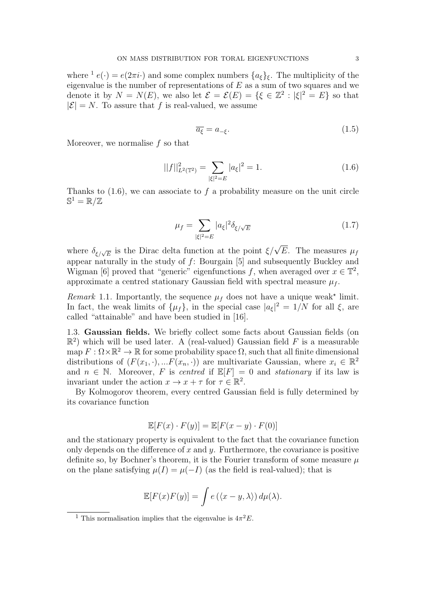where <sup>[1](#page-2-0)</sup>  $e(\cdot) = e(2\pi i \cdot)$  and some complex numbers  $\{a_{\xi}\}_{\xi}$ . The multiplicity of the eigenvalue is the number of representations of  $E$  as a sum of two squares and we denote it by  $N = N(E)$ , we also let  $\mathcal{E} = \mathcal{E}(E) = {\xi \in \mathbb{Z}^2 : |\xi|^2 = E}$  so that  $|\mathcal{E}| = N$ . To assure that f is real-valued, we assume

<span id="page-2-1"></span>
$$
\overline{a_{\xi}} = a_{-\xi}.\tag{1.5}
$$

Moreover, we normalise f so that

$$
||f||_{L^{2}(\mathbb{T}^{2})}^{2} = \sum_{|\xi|^{2} = E} |a_{\xi}|^{2} = 1.
$$
 (1.6)

Thanks to  $(1.6)$ , we can associate to f a probability measure on the unit circle  $\mathbb{S}^1=\mathbb{R}/\mathbb{Z}$ 

<span id="page-2-2"></span>
$$
\mu_f = \sum_{|\xi|^2 = E} |a_{\xi}|^2 \delta_{\xi/\sqrt{E}} \tag{1.7}
$$

where  $\delta_{\xi/\sqrt{E}}$  is the Dirac delta function at the point  $\xi/\sqrt{E}$ . The measures  $\mu_f$ appear naturally in the study of f: Bourgain [\[5\]](#page-17-2) and subsequently Buckley and Wigman [\[6\]](#page-17-3) proved that "generic" eigenfunctions f, when averaged over  $x \in \mathbb{T}^2$ , approximate a centred stationary Gaussian field with spectral measure  $\mu_f$ .

Remark 1.1. Importantly, the sequence  $\mu_f$  does not have a unique weak<sup>\*</sup> limit. In fact, the weak limits of  $\{\mu_f\}$ , in the special case  $|a_{\xi}|^2 = 1/N$  for all  $\xi$ , are called "attainable" and have been studied in [\[16\]](#page-18-10).

<span id="page-2-3"></span>1.3. Gaussian fields. We briefly collect some facts about Gaussian fields (on  $\mathbb{R}^2$ ) which will be used later. A (real-valued) Gaussian field F is a measurable map  $F: \Omega \times \mathbb{R}^2 \to \mathbb{R}$  for some probability space  $\Omega$ , such that all finite dimensional distributions of  $(F(x_1, \cdot), ... F(x_n, \cdot))$  are multivariate Gaussian, where  $x_i \in \mathbb{R}^2$ and  $n \in \mathbb{N}$ . Moreover, F is centred if  $\mathbb{E}[F] = 0$  and stationary if its law is invariant under the action  $x \to x + \tau$  for  $\tau \in \mathbb{R}^2$ .

By Kolmogorov theorem, every centred Gaussian field is fully determined by its covariance function

$$
\mathbb{E}[F(x) \cdot F(y)] = \mathbb{E}[F(x - y) \cdot F(0)]
$$

and the stationary property is equivalent to the fact that the covariance function only depends on the difference of  $x$  and  $y$ . Furthermore, the covariance is positive definite so, by Bochner's theorem, it is the Fourier transform of some measure  $\mu$ on the plane satisfying  $\mu(I) = \mu(-I)$  (as the field is real-valued); that is

$$
\mathbb{E}[F(x)F(y)] = \int e(\langle x - y, \lambda \rangle) d\mu(\lambda).
$$

<span id="page-2-0"></span><sup>&</sup>lt;sup>1</sup> This normalisation implies that the eigenvalue is  $4\pi^2 E$ .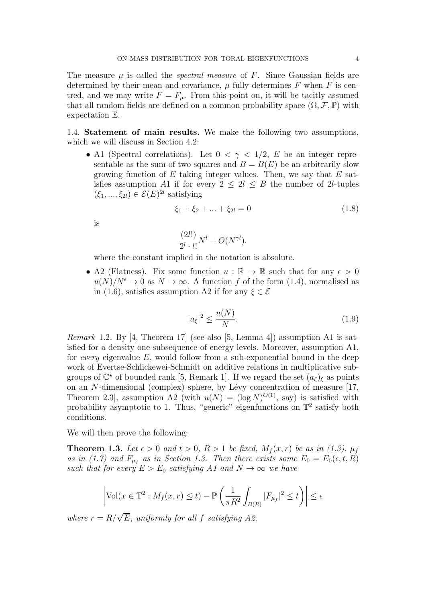The measure  $\mu$  is called the *spectral measure* of F. Since Gaussian fields are determined by their mean and covariance,  $\mu$  fully determines F when F is centred, and we may write  $F = F_{\mu}$ . From this point on, it will be tacitly assumed that all random fields are defined on a common probability space  $(\Omega, \mathcal{F}, \mathbb{P})$  with expectation E.

1.4. Statement of main results. We make the following two assumptions, which we will discuss in Section [4.2:](#page-15-0)

• A1 (Spectral correlations). Let  $0 < \gamma < 1/2$ , E be an integer representable as the sum of two squares and  $B = B(E)$  be an arbitrarily slow growing function of  $E$  taking integer values. Then, we say that  $E$  satisfies assumption A1 if for every  $2 \leq 2l \leq B$  the number of 2l-tuples  $(\xi_1, ..., \xi_{2l}) \in \mathcal{E}(E)^{2l}$  satisfying

$$
\xi_1 + \xi_2 + \dots + \xi_{2l} = 0 \tag{1.8}
$$

is

$$
\frac{(2l!)}{2^l \cdot l!}N^l + O(N^{\gamma l}).
$$

where the constant implied in the notation is absolute.

• A2 (Flatness). Fix some function  $u : \mathbb{R} \to \mathbb{R}$  such that for any  $\epsilon > 0$  $u(N)/N^{\epsilon} \to 0$  as  $N \to \infty$ . A function f of the form [\(1.4\)](#page-1-0), normalised as in [\(1.6\)](#page-2-1), satisfies assumption A2 if for any  $\xi \in \mathcal{E}$ 

$$
|a_{\xi}|^2 \le \frac{u(N)}{N}.\tag{1.9}
$$

Remark 1.2. By [\[4,](#page-17-4) Theorem 17] (see also [\[5,](#page-17-2) Lemma 4]) assumption A1 is satisfied for a density one subsequence of energy levels. Moreover, assumption A1, for every eigenvalue  $E$ , would follow from a sub-exponential bound in the deep work of Evertse-Schlickewei-Schmidt on additive relations in multiplicative subgroups of  $\mathbb{C}^*$  of bounded rank [\[5,](#page-17-2) Remark 1]. If we regard the set  $(a_{\xi})_{\xi}$  as points on an  $N$ -dimensional (complex) sphere, by Lévy concentration of measure [\[17,](#page-18-11) Theorem 2.3, assumption A2 (with  $u(N) = (\log N)^{O(1)}$ , say) is satisfied with probability asymptotic to 1. Thus, "generic" eigenfunctions on  $\mathbb{T}^2$  satisfy both conditions.

We will then prove the following:

<span id="page-3-0"></span>**Theorem 1.3.** Let  $\epsilon > 0$  and  $t > 0$ ,  $R > 1$  be fixed,  $M_f(x,r)$  be as in [\(1.3\)](#page-1-1),  $\mu_f$ as in [\(1.7\)](#page-2-2) and  $F_{\mu_f}$  as in Section [1.3.](#page-2-3) Then there exists some  $E_0 = E_0(\epsilon, t, R)$ such that for every  $E > E_0$  satisfying A1 and  $N \to \infty$  we have

$$
\left| \text{Vol}(x \in \mathbb{T}^2 : M_f(x, r) \le t) - \mathbb{P}\left(\frac{1}{\pi R^2} \int_{B(R)} |F_{\mu_f}|^2 \le t\right) \right| \le \epsilon
$$

where  $r = R/\sqrt{E}$ , uniformly for all f satisfying A2.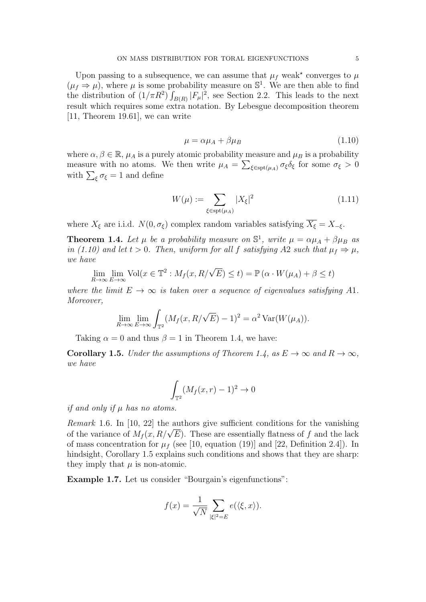Upon passing to a subsequence, we can assume that  $\mu_f$  weak<sup>\*</sup> converges to  $\mu$  $(\mu_f \Rightarrow \mu)$ , where  $\mu$  is some probability measure on  $\mathbb{S}^1$ . We are then able to find the distribution of  $(1/\pi R^2) \int_{B(R)} |F_\mu|^2$ , see Section [2.2.](#page-7-0) This leads to the next result which requires some extra notation. By Lebesgue decomposition theorem [\[11,](#page-18-7) Theorem 19.61], we can write

<span id="page-4-4"></span><span id="page-4-1"></span>
$$
\mu = \alpha \mu_A + \beta \mu_B \tag{1.10}
$$

where  $\alpha, \beta \in \mathbb{R}$ ,  $\mu_A$  is a purely atomic probability measure and  $\mu_B$  is a probability measure with no atoms. We then write  $\mu_A = \sum_{\xi \in \text{spt}(\mu_A)} \sigma_{\xi} \delta_{\xi}$  for some  $\sigma_{\xi} > 0$ with  $\sum_{\xi} \sigma_{\xi} = 1$  and define

$$
W(\mu) := \sum_{\xi \in \text{spt}(\mu_A)} |X_{\xi}|^2 \tag{1.11}
$$

where  $X_{\xi}$  are i.i.d.  $N(0, \sigma_{\xi})$  complex random variables satisfying  $\overline{X_{\xi}} = X_{-\xi}$ .

<span id="page-4-2"></span>**Theorem 1.4.** Let  $\mu$  be a probability measure on  $\mathbb{S}^1$ , write  $\mu = \alpha \mu_A + \beta \mu_B$  as in [\(1.10\)](#page-4-1) and let  $t > 0$ . Then, uniform for all f satisfying A2 such that  $\mu_f \Rightarrow \mu$ , we have

$$
\lim_{R \to \infty} \lim_{E \to \infty} \text{Vol}(x \in \mathbb{T}^2 : M_f(x, R/\sqrt{E}) \le t) = \mathbb{P}(\alpha \cdot W(\mu_A) + \beta \le t)
$$

where the limit  $E \to \infty$  is taken over a sequence of eigenvalues satisfying A1. Moreover,

$$
\lim_{R \to \infty} \lim_{E \to \infty} \int_{\mathbb{T}^2} (M_f(x, R/\sqrt{E}) - 1)^2 = \alpha^2 \operatorname{Var}(W(\mu_A)).
$$

Taking  $\alpha = 0$  and thus  $\beta = 1$  in Theorem [1.4,](#page-4-2) we have:

<span id="page-4-3"></span>**Corollary 1.5.** Under the assumptions of Theorem [1.4,](#page-4-2) as  $E \to \infty$  and  $R \to \infty$ , we have

$$
\int_{\mathbb{T}^2} (M_f(x,r)-1)^2 \to 0
$$

if and only if  $\mu$  has no atoms.

<span id="page-4-0"></span>Remark 1.6. In [\[10,](#page-18-4) [22\]](#page-18-5) the authors give sufficient conditions for the vanishing *Remark* 1.0. In [10, 22] the authors give sumclent conditions for the vanishing of the variance of  $M_f(x, R/\sqrt{E})$ . These are essentially flatness of f and the lack of mass concentration for  $\mu_f$  (see [\[10,](#page-18-4) equation (19)] and [\[22,](#page-18-5) Definition 2.4]). In hindsight, Corollary [1.5](#page-4-3) explains such conditions and shows that they are sharp: they imply that  $\mu$  is non-atomic.

Example 1.7. Let us consider "Bourgain's eigenfunctions":

$$
f(x) = \frac{1}{\sqrt{N}} \sum_{|\xi|^2 = E} e(\langle \xi, x \rangle).
$$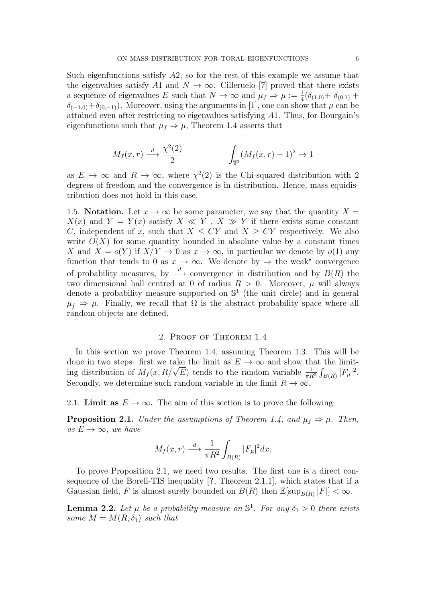Such eigenfunctions satisfy  $A2$ , so for the rest of this example we assume that the eigenvalues satisfy A1 and  $N \to \infty$ . Cilleruelo [\[7\]](#page-18-12) proved that there exists a sequence of eigenvalues E such that  $N \to \infty$  and  $\mu_f \Rightarrow \mu := \frac{1}{4}(\delta_{(1,0)} + \delta_{(0,1)} + \cdots)$  $\delta_{(-1,0)}+\delta_{(0,-1)}$ . Moreover, using the arguments in [\[1\]](#page-17-5), one can show that  $\mu$  can be attained even after restricting to eigenvalues satisfying A1. Thus, for Bourgain's eigenfunctions such that  $\mu_f \Rightarrow \mu$ , Theorem [1.4](#page-4-2) asserts that

$$
M_f(x,r) \xrightarrow{d} \frac{\chi^2(2)}{2} \qquad \qquad \int_{\mathbb{T}^2} (M_f(x,r) - 1)^2 \to 1
$$

as  $E \to \infty$  and  $R \to \infty$ , where  $\chi^2(2)$  is the Chi-squared distribution with 2 degrees of freedom and the convergence is in distribution. Hence, mass equidistribution does not hold in this case.

1.5. Notation. Let  $x \to \infty$  be some parameter, we say that the quantity  $X =$  $X(x)$  and  $Y = Y(x)$  satisfy  $X \ll Y$ ,  $X \gg Y$  if there exists some constant C, independent of x, such that  $X \leq CY$  and  $X \geq CY$  respectively. We also write  $O(X)$  for some quantity bounded in absolute value by a constant times X and  $X = o(Y)$  if  $X/Y \to 0$  as  $x \to \infty$ , in particular we denote by  $o(1)$  any function that tends to 0 as  $x \to \infty$ . We denote by  $\Rightarrow$  the weak<sup>\*</sup> convergence of probability measures, by  $\stackrel{d}{\longrightarrow}$  convergence in distribution and by  $B(R)$  the two dimensional ball centred at 0 of radius  $R > 0$ . Moreover,  $\mu$  will always denote a probability measure supported on  $\mathbb{S}^1$  (the unit circle) and in general  $\mu_f \Rightarrow \mu$ . Finally, we recall that  $\Omega$  is the abstract probability space where all random objects are defined.

## 2. Proof of Theorem [1.4](#page-4-2)

In this section we prove Theorem [1.4,](#page-4-2) assuming Theorem [1.3.](#page-3-0) This will be done in two steps: first we take the limit as  $E \to \infty$  and show that the limitdone in two steps: first we take the limit as  $E \to \infty$  and show that the limit-<br>ing distribution of  $M_f(x, R/\sqrt{E})$  tends to the random variable  $\frac{1}{\pi R^2} \int_{B(R)} |F_\mu|^2$ . Secondly, we determine such random variable in the limit  $R \to \infty$ .

2.1. Limit as  $E \to \infty$ . The aim of this section is to prove the following:

<span id="page-5-0"></span>**Proposition 2.1.** Under the assumptions of Theorem [1.4,](#page-4-2) and  $\mu_f \Rightarrow \mu$ . Then, as  $E \to \infty$ , we have

$$
M_f(x,r) \stackrel{d}{\longrightarrow} \frac{1}{\pi R^2} \int_{B(R)} |F_{\mu}|^2 dx.
$$

To prove Proposition [2.1,](#page-5-0) we need two results. The first one is a direct consequence of the Borell-TIS inequality [?, Theorem 2.1.1], which states that if a Gaussian field, F is almost surely bounded on  $B(R)$  then  $\mathbb{E}[\sup_{B(R)} |F|] < \infty$ .

<span id="page-5-1"></span>**Lemma 2.2.** Let  $\mu$  be a probability measure on  $\mathbb{S}^1$ . For any  $\delta_1 > 0$  there exists some  $M = M(R, \delta_1)$  such that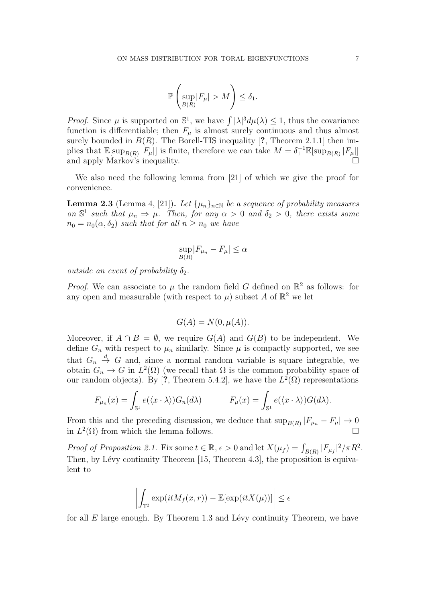$$
\mathbb{P}\left(\sup_{B(R)}|F_{\mu}| > M\right) \le \delta_1.
$$

*Proof.* Since  $\mu$  is supported on  $\mathbb{S}^1$ , we have  $\int |\lambda|^3 d\mu(\lambda) \leq 1$ , thus the covariance function is differentiable; then  $F_{\mu}$  is almost surely continuous and thus almost surely bounded in  $B(R)$ . The Borell-TIS inequality [?, Theorem 2.1.1] then implies that  $\mathbb{E}[\sup_{B(R)} |F_\mu|]$  is finite, therefore we can take  $M = \delta_1^{-1} \mathbb{E}[\sup_{B(R)} |F_\mu|]$ and apply Markov's inequality.  $\Box$ 

We also need the following lemma from [\[21\]](#page-18-13) of which we give the proof for convenience.

<span id="page-6-0"></span>**Lemma 2.3** (Lemma 4, [\[21\]](#page-18-13)). Let  $\{\mu_n\}_{n\in\mathbb{N}}$  be a sequence of probability measures on  $\mathbb{S}^1$  such that  $\mu_n \Rightarrow \mu$ . Then, for any  $\alpha > 0$  and  $\delta_2 > 0$ , there exists some  $n_0 = n_0(\alpha, \delta_2)$  such that for all  $n \geq n_0$  we have

$$
\sup_{B(R)} |F_{\mu_n} - F_{\mu}| \le \alpha
$$

outside an event of probability  $\delta_2$ .

*Proof.* We can associate to  $\mu$  the random field G defined on  $\mathbb{R}^2$  as follows: for any open and measurable (with respect to  $\mu$ ) subset A of  $\mathbb{R}^2$  we let

$$
G(A) = N(0, \mu(A)).
$$

Moreover, if  $A \cap B = \emptyset$ , we require  $G(A)$  and  $G(B)$  to be independent. We define  $G_n$  with respect to  $\mu_n$  similarly. Since  $\mu$  is compactly supported, we see that  $G_n \stackrel{d}{\rightarrow} G$  and, since a normal random variable is square integrable, we obtain  $G_n \to G$  in  $L^2(\Omega)$  (we recall that  $\Omega$  is the common probability space of our random objects). By [?, Theorem 5.4.2], we have the  $L^2(\Omega)$  representations

$$
F_{\mu_n}(x) = \int_{\mathbb{S}^1} e(\langle x \cdot \lambda \rangle) G_n(d\lambda) \qquad F_{\mu}(x) = \int_{\mathbb{S}^1} e(\langle x \cdot \lambda \rangle) G(d\lambda).
$$

From this and the preceding discussion, we deduce that  $\sup_{B(R)} |F_{\mu_n} - F_{\mu}| \to 0$ in  $L^2(\Omega)$  from which the lemma follows. <sup>2</sup>( $\Omega$ ) from which the lemma follows.

Proof of Proposition [2.1.](#page-5-0) Fix some  $t \in \mathbb{R}$ ,  $\epsilon > 0$  and let  $X(\mu_f) = \int_{B(R)} |F_{\mu_f}|^2 / \pi R^2$ . Then, by Lévy continuity Theorem  $[15,$  Theorem 4.3], the proposition is equivalent to

$$
\left| \int_{\mathbb{T}^2} \exp(itM_f(x,r)) - \mathbb{E}[\exp(itX(\mu))] \right| \le \epsilon
$$

for all  $E$  large enough. By Theorem [1.3](#page-3-0) and Lévy continuity Theorem, we have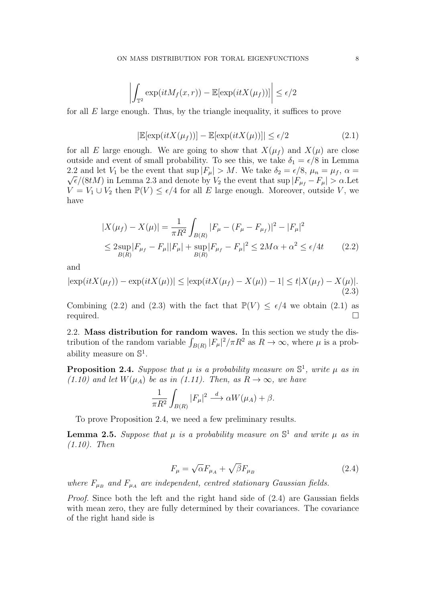$$
\left| \int_{\mathbb{T}^2} \exp(itM_f(x,r)) - \mathbb{E}[\exp(itX(\mu_f))] \right| \le \epsilon/2
$$

for all  $E$  large enough. Thus, by the triangle inequality, it suffices to prove

<span id="page-7-3"></span><span id="page-7-1"></span>
$$
|\mathbb{E}[\exp(itX(\mu_f))] - \mathbb{E}[\exp(itX(\mu))]| \le \epsilon/2
$$
\n(2.1)

for all E large enough. We are going to show that  $X(\mu_f)$  and  $X(\mu)$  are close outside and event of small probability. To see this, we take  $\delta_1 = \epsilon/8$  in Lemma [2.2](#page-5-1) and let  $V_1$  be the event that sup  $|F_\mu| > M$ . We take  $\delta_2 = \epsilon/8$ ,  $\mu_n = \mu_f$ ,  $\alpha =$  $\sqrt{\epsilon}/(8tM)$  in Lemma [2.3](#page-6-0) and denote by  $V_2$  the event that sup  $|F_{\mu_f} - F_{\mu}| > \alpha$ . Let  $V = V_1 \cup V_2$  then  $\mathbb{P}(V) \leq \epsilon/4$  for all E large enough. Moreover, outside V, we have

$$
|X(\mu_f) - X(\mu)| = \frac{1}{\pi R^2} \int_{B(R)} |F_{\mu} - (F_{\mu} - F_{\mu_f})|^2 - |F_{\mu}|^2
$$
  
\n
$$
\leq 2 \sup_{B(R)} |F_{\mu_f} - F_{\mu}||F_{\mu}| + \sup_{B(R)} |F_{\mu_f} - F_{\mu}|^2 \leq 2M\alpha + \alpha^2 \leq \epsilon/4t
$$
 (2.2)

and

$$
|\exp(itX(\mu_f)) - \exp(itX(\mu))| \leq |\exp(itX(\mu_f) - X(\mu)) - 1| \leq t|X(\mu_f) - X(\mu)|.
$$
\n(2.3)

Combining [\(2.2\)](#page-7-1) and [\(2.3\)](#page-7-2) with the fact that  $\mathbb{P}(V) \leq \epsilon/4$  we obtain [\(2.1\)](#page-7-3) as  $\Box$ required.  $\Box$ 

<span id="page-7-0"></span>2.2. Mass distribution for random waves. In this section we study the distribution of the random variable  $\int_{B(R)} |F_\mu|^2 / \pi R^2$  as  $R \to \infty$ , where  $\mu$  is a probability measure on  $\mathbb{S}^1$ .

<span id="page-7-4"></span>**Proposition 2.4.** Suppose that  $\mu$  is a probability measure on  $\mathbb{S}^1$ , write  $\mu$  as in [\(1.10\)](#page-4-1) and let  $W(\mu_A)$  be as in [\(1.11\)](#page-4-4). Then, as  $R \to \infty$ , we have

<span id="page-7-2"></span>
$$
\frac{1}{\pi R^2} \int_{B(R)} |F_{\mu}|^2 \stackrel{d}{\longrightarrow} \alpha W(\mu_A) + \beta.
$$

To prove Proposition [2.4,](#page-7-4) we need a few preliminary results.

<span id="page-7-6"></span>**Lemma 2.5.** Suppose that  $\mu$  is a probability measure on  $\mathbb{S}^1$  and write  $\mu$  as in [\(1.10\)](#page-4-1). Then

<span id="page-7-5"></span>
$$
F_{\mu} = \sqrt{\alpha} F_{\mu_A} + \sqrt{\beta} F_{\mu_B} \tag{2.4}
$$

where  $F_{\mu_B}$  and  $F_{\mu_A}$  are independent, centred stationary Gaussian fields.

Proof. Since both the left and the right hand side of [\(2.4\)](#page-7-5) are Gaussian fields with mean zero, they are fully determined by their covariances. The covariance of the right hand side is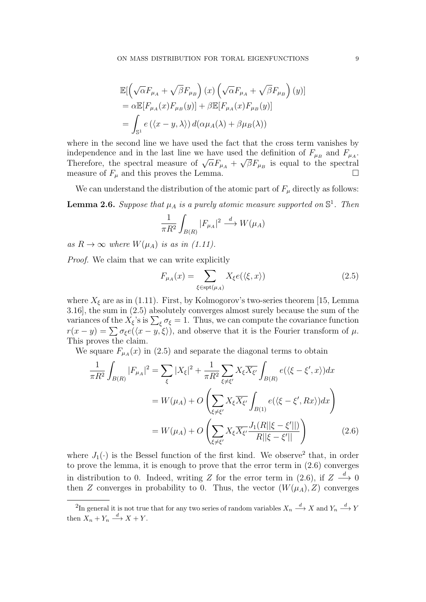$$
\mathbb{E}[\left(\sqrt{\alpha}F_{\mu_A} + \sqrt{\beta}F_{\mu_B}\right)(x)\left(\sqrt{\alpha}F_{\mu_A} + \sqrt{\beta}F_{\mu_B}\right)(y)]
$$
  
=  $\alpha \mathbb{E}[F_{\mu_A}(x)F_{\mu_B}(y)] + \beta \mathbb{E}[F_{\mu_A}(x)F_{\mu_B}(y)]$   
=  $\int_{\mathbb{S}^1} e(\langle x - y, \lambda \rangle) d(\alpha \mu_A(\lambda) + \beta \mu_B(\lambda))$ 

where in the second line we have used the fact that the cross term vanishes by independence and in the last line we have used the definition of  $F_{\mu_B}$  and  $F_{\mu_A}$ . Therefore, the spectral measure of  $\sqrt{\alpha}F_{\mu_A} + \sqrt{\beta}F_{\mu_B}$  is equal to the spectral measure of  $F_{\mu}$  and this proves the Lemma.

We can understand the distribution of the atomic part of  $F_{\mu}$  directly as follows:

<span id="page-8-3"></span>**Lemma 2.6.** Suppose that  $\mu_A$  is a purely atomic measure supported on  $\mathbb{S}^1$ . Then

$$
\frac{1}{\pi R^2} \int_{B(R)} |F_{\mu_A}|^2 \stackrel{d}{\longrightarrow} W(\mu_A)
$$

as  $R \to \infty$  where  $W(\mu_A)$  is as in [\(1.11\)](#page-4-4).

Proof. We claim that we can write explicitly

<span id="page-8-2"></span><span id="page-8-0"></span>
$$
F_{\mu_A}(x) = \sum_{\xi \in \text{spt}(\mu_A)} X_{\xi} e(\langle \xi, x \rangle)
$$
 (2.5)

where  $X_{\xi}$  are as in [\(1.11\)](#page-4-4). First, by Kolmogorov's two-series theorem [\[15,](#page-18-14) Lemma 3.16], the sum in [\(2.5\)](#page-8-0) absolutely converges almost surely because the sum of the variances of the  $X_{\xi}$ 's is  $\sum_{\xi} \sigma_{\xi} = 1$ . Thus, we can compute the covariance function  $r(x - y) = \sum \sigma_{\xi}e(\langle x - y, \xi \rangle)$ , and observe that it is the Fourier transform of  $\mu$ . This proves the claim.

We square  $F_{\mu_A}(x)$  in [\(2.5\)](#page-8-0) and separate the diagonal terms to obtain

$$
\frac{1}{\pi R^2} \int_{B(R)} |F_{\mu_A}|^2 = \sum_{\xi} |X_{\xi}|^2 + \frac{1}{\pi R^2} \sum_{\xi \neq \xi'} X_{\xi} \overline{X_{\xi'}} \int_{B(R)} e(\langle \xi - \xi', x \rangle) dx
$$

$$
= W(\mu_A) + O\left(\sum_{\xi \neq \xi'} X_{\xi} \overline{X_{\xi'}} \int_{B(1)} e(\langle \xi - \xi', Rx \rangle) dx\right)
$$

$$
= W(\mu_A) + O\left(\sum_{\xi \neq \xi'} X_{\xi} \overline{X_{\xi'}} \frac{J_1(R||\xi - \xi'||)}{R||\xi - \xi'||}\right) \tag{2.6}
$$

where  $J_1(\cdot)$  is the Bessel function of the first kind. We observe<sup>[2](#page-8-1)</sup> that, in order to prove the lemma, it is enough to prove that the error term in [\(2.6\)](#page-8-2) converges in distribution to 0. Indeed, writing Z for the error term in [\(2.6\)](#page-8-2), if  $Z \stackrel{d}{\longrightarrow} 0$ then Z converges in probability to 0. Thus, the vector  $(W(\mu_A), Z)$  converges

<span id="page-8-1"></span><sup>&</sup>lt;sup>2</sup>In general it is not true that for any two series of random variables  $X_n \stackrel{d}{\longrightarrow} X$  and  $Y_n \stackrel{d}{\longrightarrow} Y$ then  $X_n + Y_n \xrightarrow{d} X + Y$ .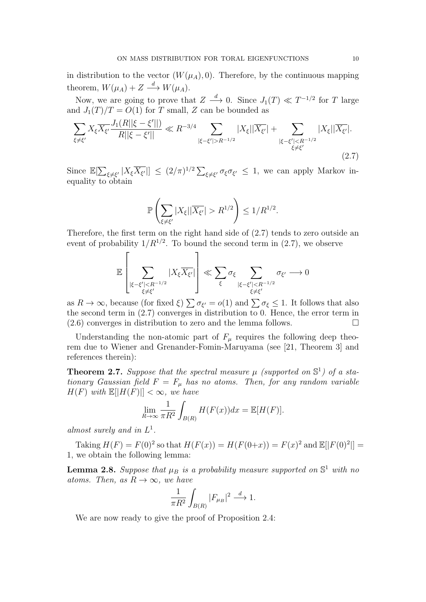in distribution to the vector  $(W(\mu_A), 0)$ . Therefore, by the continuous mapping theorem,  $W(\mu_A) + Z \stackrel{d}{\longrightarrow} W(\mu_A)$ .

Now, we are going to prove that  $Z \stackrel{d}{\longrightarrow} 0$ . Since  $J_1(T) \ll T^{-1/2}$  for T large and  $J_1(T)/T = O(1)$  for T small, Z can be bounded as

$$
\sum_{\xi \neq \xi'} X_{\xi} \overline{X_{\xi'}} \frac{J_1(R||\xi - \xi'||)}{R||\xi - \xi'||} \ll R^{-3/4} \sum_{|\xi - \xi'| > R^{-1/2}} |X_{\xi}|| \overline{X_{\xi'}}| + \sum_{|\xi - \xi'| < R^{-1/2} \atop \xi \neq \xi'} |X_{\xi}|| \overline{X_{\xi'}}|.
$$
\n(2.7)

Since  $\mathbb{E}[\sum_{\xi \neq \xi'} |X_{\xi} \overline{X_{\xi'}}|] \leq (2/\pi)^{1/2} \sum_{\xi \neq \xi'} \sigma_{\xi} \sigma_{\xi'} \leq 1$ , we can apply Markov inequality to obtain

<span id="page-9-0"></span>
$$
\mathbb{P}\left(\sum_{\xi\neq \xi'}|X_{\xi}||\overline{X_{\xi'}}|>R^{1/2}\right)\leq 1/R^{1/2}.
$$

Therefore, the first term on the right hand side of [\(2.7\)](#page-9-0) tends to zero outside an event of probability  $1/R^{1/2}$ . To bound the second term in  $(2.7)$ , we observe

$$
\mathbb{E}\left[\sum_{\substack{|\xi-\xi'|
$$

as  $R \to \infty$ , because (for fixed  $\xi$ )  $\sum \sigma_{\xi'} = o(1)$  and  $\sum \sigma_{\xi} \leq 1$ . It follows that also the second term in [\(2.7\)](#page-9-0) converges in distribution to 0. Hence, the error term in  $(2.6)$  converges in distribution to zero and the lemma follows.

Understanding the non-atomic part of  $F_{\mu}$  requires the following deep theorem due to Wiener and Grenander-Fomin-Maruyama (see [\[21,](#page-18-13) Theorem 3] and references therein):

**Theorem 2.7.** Suppose that the spectral measure  $\mu$  (supported on  $\mathbb{S}^1$ ) of a stationary Gaussian field  $F = F_{\mu}$  has no atoms. Then, for any random variable  $H(F)$  with  $\mathbb{E}[|H(F)|] < \infty$ , we have

$$
\lim_{R \to \infty} \frac{1}{\pi R^2} \int_{B(R)} H(F(x)) dx = \mathbb{E}[H(F)].
$$

almost surely and in  $L^1$ .

Taking  $H(F) = F(0)^2$  so that  $H(F(x)) = H(F(0+x)) = F(x)^2$  and  $\mathbb{E}[|F(0)^2|] =$ 1, we obtain the following lemma:

<span id="page-9-1"></span>**Lemma 2.8.** Suppose that  $\mu_B$  is a probability measure supported on  $\mathbb{S}^1$  with no atoms. Then, as  $R \to \infty$ , we have

$$
\frac{1}{\pi R^2} \int_{B(R)} |F_{\mu_B}|^2 \stackrel{d}{\longrightarrow} 1.
$$

We are now ready to give the proof of Proposition [2.4:](#page-7-4)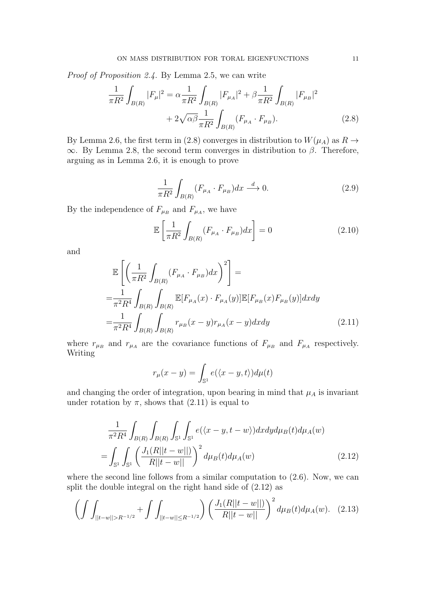Proof of Proposition [2.4.](#page-7-4) By Lemma [2.5,](#page-7-6) we can write

$$
\frac{1}{\pi R^2} \int_{B(R)} |F_{\mu}|^2 = \alpha \frac{1}{\pi R^2} \int_{B(R)} |F_{\mu_A}|^2 + \beta \frac{1}{\pi R^2} \int_{B(R)} |F_{\mu_B}|^2
$$

$$
+ 2\sqrt{\alpha \beta} \frac{1}{\pi R^2} \int_{B(R)} (F_{\mu_A} \cdot F_{\mu_B}). \tag{2.8}
$$

By Lemma [2.6,](#page-8-3) the first term in [\(2.8\)](#page-10-0) converges in distribution to  $W(\mu_A)$  as  $R \to$  $\infty$ . By Lemma [2.8,](#page-9-1) the second term converges in distribution to  $\beta$ . Therefore, arguing as in Lemma [2.6,](#page-8-3) it is enough to prove

<span id="page-10-5"></span><span id="page-10-0"></span>
$$
\frac{1}{\pi R^2} \int_{B(R)} (F_{\mu_A} \cdot F_{\mu_B}) dx \stackrel{d}{\longrightarrow} 0. \tag{2.9}
$$

By the independence of  $F_{\mu_B}$  and  $F_{\mu_A}$ , we have

<span id="page-10-4"></span>
$$
\mathbb{E}\left[\frac{1}{\pi R^2} \int_{B(R)} (F_{\mu_A} \cdot F_{\mu_B}) dx\right] = 0 \tag{2.10}
$$

and

$$
\mathbb{E}\left[\left(\frac{1}{\pi R^2} \int_{B(R)} (F_{\mu_A} \cdot F_{\mu_B}) dx\right)^2\right] =
$$
\n
$$
= \frac{1}{\pi^2 R^4} \int_{B(R)} \int_{B(R)} \mathbb{E}[F_{\mu_A}(x) \cdot F_{\mu_A}(y)] \mathbb{E}[F_{\mu_B}(x) F_{\mu_B}(y)] dx dy
$$
\n
$$
= \frac{1}{\pi^2 R^4} \int_{B(R)} \int_{B(R)} r_{\mu_B}(x-y) r_{\mu_A}(x-y) dx dy \tag{2.11}
$$

where  $r_{\mu_B}$  and  $r_{\mu_A}$  are the covariance functions of  $F_{\mu_B}$  and  $F_{\mu_A}$  respectively. Writing

<span id="page-10-3"></span><span id="page-10-2"></span><span id="page-10-1"></span>
$$
r_{\mu}(x-y) = \int_{\mathbb{S}^1} e(\langle x-y, t \rangle) d\mu(t)
$$

and changing the order of integration, upon bearing in mind that  $\mu_A$  is invariant under rotation by  $\pi$ , shows that [\(2.11\)](#page-10-1) is equal to

$$
\frac{1}{\pi^2 R^4} \int_{B(R)} \int_{B(R)} \int_{S^1} \int_{S^1} e(\langle x - y, t - w \rangle) dx dy d\mu_B(t) d\mu_A(w)
$$
\n
$$
= \int_{S^1} \int_{S^1} \left( \frac{J_1(R||t - w||)}{R||t - w||} \right)^2 d\mu_B(t) d\mu_A(w) \tag{2.12}
$$

where the second line follows from a similar computation to  $(2.6)$ . Now, we can split the double integral on the right hand side of [\(2.12\)](#page-10-2) as

$$
\left(\int\int_{||t-w||>R^{-1/2}} + \int\int_{||t-w||\leq R^{-1/2}} \right) \left(\frac{J_1(R||t-w||)}{R||t-w||}\right)^2 d\mu_B(t) d\mu_A(w). \tag{2.13}
$$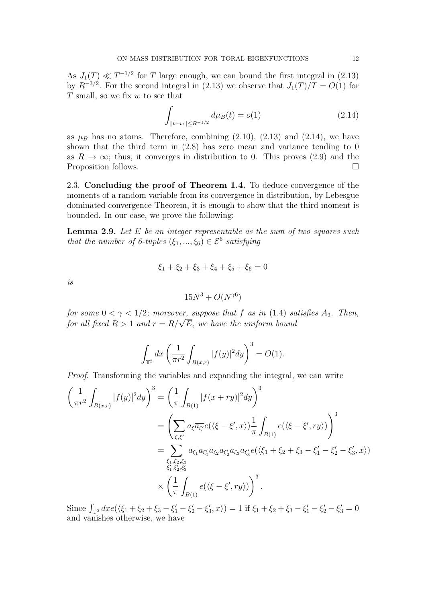As  $J_1(T) \ll T^{-1/2}$  for T large enough, we can bound the first integral in [\(2.13\)](#page-10-3) by  $R^{-3/2}$ . For the second integral in [\(2.13\)](#page-10-3) we observe that  $J_1(T)/T = O(1)$  for  $T$  small, so we fix  $w$  to see that

<span id="page-11-0"></span>
$$
\int_{||t-w|| \le R^{-1/2}} d\mu_B(t) = o(1) \tag{2.14}
$$

as  $\mu_B$  has no atoms. Therefore, combining  $(2.10)$ ,  $(2.13)$  and  $(2.14)$ , we have shown that the third term in [\(2.8\)](#page-10-0) has zero mean and variance tending to 0 as  $R \to \infty$ ; thus, it converges in distribution to 0. This proves [\(2.9\)](#page-10-5) and the Proposition follows.

2.3. Concluding the proof of Theorem [1.4.](#page-4-2) To deduce convergence of the moments of a random variable from its convergence in distribution, by Lebesgue dominated convergence Theorem, it is enough to show that the third moment is bounded. In our case, we prove the following:

<span id="page-11-1"></span>**Lemma 2.9.** Let  $E$  be an integer representable as the sum of two squares such that the number of 6-tuples  $(\xi_1, ..., \xi_6) \in \mathcal{E}^6$  satisfying

$$
\xi_1 + \xi_2 + \xi_3 + \xi_4 + \xi_5 + \xi_6 = 0
$$

is

$$
15N^3 + O(N^{\gamma 6})
$$

for some  $0 < \gamma < 1/2$ ; moreover, suppose that f as in [\(1.4\)](#page-1-0) satisfies  $A_2$ . Then, for some  $0 < \gamma < 1/2$ ; moreover, suppose that f as in (1.4) so<br>for all fixed  $R > 1$  and  $r = R/\sqrt{E}$ , we have the uniform bound

$$
\int_{\mathbb{T}^2} dx \left( \frac{1}{\pi r^2} \int_{B(x,r)} |f(y)|^2 dy \right)^3 = O(1).
$$

Proof. Transforming the variables and expanding the integral, we can write

$$
\left(\frac{1}{\pi r^2} \int_{B(x,r)} |f(y)|^2 dy\right)^3 = \left(\frac{1}{\pi} \int_{B(1)} |f(x+ry)|^2 dy\right)^3
$$
  
\n
$$
= \left(\sum_{\xi,\xi'} a_{\xi} \overline{a_{\xi'}} e(\langle \xi - \xi', x \rangle) \frac{1}{\pi} \int_{B(1)} e(\langle \xi - \xi', ry \rangle) \right)^3
$$
  
\n
$$
= \sum_{\substack{\xi_1,\xi_2,\xi_3 \\ \xi'_1,\xi'_2,\xi'_3}} a_{\xi_1} \overline{a_{\xi'_1}} a_{\xi_2} \overline{a_{\xi'_2}} a_{\xi_3} \overline{a_{\xi'_3}} e(\langle \xi_1 + \xi_2 + \xi_3 - \xi'_1 - \xi'_2 - \xi'_3, x \rangle)
$$
  
\n
$$
\times \left(\frac{1}{\pi} \int_{B(1)} e(\langle \xi - \xi', ry \rangle) \right)^3.
$$

Since  $\int_{\mathbb{T}^2} dx e(\langle \xi_1 + \xi_2 + \xi_3 - \xi'_1 - \xi'_2 - \xi'_3, x \rangle) = 1$  if  $\xi_1 + \xi_2 + \xi_3 - \xi'_1 - \xi'_2 - \xi'_3 = 0$ and vanishes otherwise, we have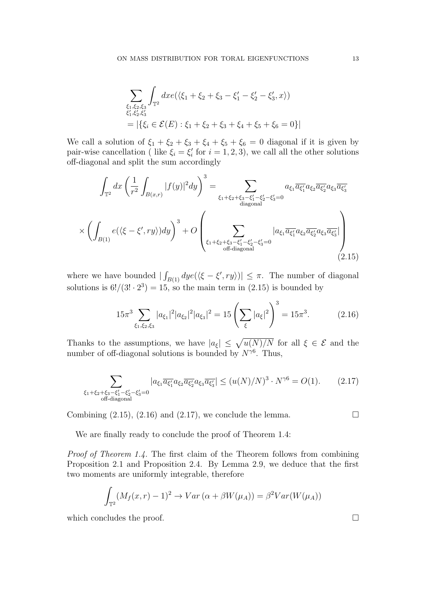$$
\sum_{\substack{\xi_1,\xi_2,\xi_3 \\ \xi'_1,\xi'_2,\xi'_3}} \int_{\mathbb{T}^2} dx e(\langle \xi_1 + \xi_2 + \xi_3 - \xi'_1 - \xi'_2 - \xi'_3, x \rangle)
$$
  
= |\{ \xi\_i \in \mathcal{E}(E) : \xi\_1 + \xi\_2 + \xi\_3 + \xi\_4 + \xi\_5 + \xi\_6 = 0 \} |

We call a solution of  $\xi_1 + \xi_2 + \xi_3 + \xi_4 + \xi_5 + \xi_6 = 0$  diagonal if it is given by pair-wise cancellation ( like  $\xi_i = \xi'_i$  for  $i = 1, 2, 3$ ), we call all the other solutions off-diagonal and split the sum accordingly

$$
\int_{\mathbb{T}^2} dx \left( \frac{1}{r^2} \int_{B(x,r)} |f(y)|^2 dy \right)^3 = \sum_{\xi_1 + \xi_2 + \xi_3 - \xi_1' - \xi_2' - \xi_3' = 0} a_{\xi_1} \overline{a_{\xi_1'}} a_{\xi_2} \overline{a_{\xi_2'}} a_{\xi_3} \overline{a_{\xi_3'}}
$$
\n
$$
\times \left( \int_{B(1)} e(\langle \xi - \xi', ry \rangle) dy \right)^3 + O\left( \sum_{\xi_1 + \xi_2 + \xi_3 - \xi_1' - \xi_2' - \xi_3' = 0} |a_{\xi_1} \overline{a_{\xi_1'}} a_{\xi_2} \overline{a_{\xi_2'}} a_{\xi_3} \overline{a_{\xi_3'}}| \right)
$$
\n
$$
\times (1 - \sum_{\text{off-diagonal}} |a_{\xi_1} \overline{a_{\xi_1'}} a_{\xi_2} \overline{a_{\xi_2'}} a_{\xi_3} \overline{a_{\xi_3'}}| \right)
$$
\n
$$
(2.15)
$$

where we have bounded  $|\int_{B(1)} dy e(\langle \xi - \xi', ry \rangle)| \leq \pi$ . The number of diagonal solutions is  $6!/(3! \cdot 2^3) = 15$ , so the main term in  $(2.15)$  is bounded by

<span id="page-12-2"></span>
$$
15\pi^3 \sum_{\xi_1,\xi_2,\xi_3} |a_{\xi_1}|^2 |a_{\xi_2}|^2 |a_{\xi_3}|^2 = 15 \left( \sum_{\xi} |a_{\xi}|^2 \right)^3 = 15\pi^3. \tag{2.16}
$$

Thanks to the assumptions, we have  $|a_{\xi}| \leq \sqrt{u(N)/N}$  for all  $\xi \in \mathcal{E}$  and the number of off-diagonal solutions is bounded by  $N^{\gamma 6}$ . Thus,

$$
\sum_{\substack{\xi_1+\xi_2+\xi_3-\xi'_1-\xi'_2-\xi'_3=0\\ \text{off-diagonal}}} |a_{\xi_1}\overline{a_{\xi'_1}}a_{\xi_2}\overline{a_{\xi'_2}}a_{\xi_3}\overline{a_{\xi'_3}}| \leq (u(N)/N)^3 \cdot N^{\gamma 6} = O(1). \tag{2.17}
$$

Combining  $(2.15)$ ,  $(2.16)$  and  $(2.17)$ , we conclude the lemma.

We are finally ready to conclude the proof of Theorem [1.4:](#page-4-2)

Proof of Theorem [1.4.](#page-4-2) The first claim of the Theorem follows from combining Proposition [2.1](#page-5-0) and Proposition [2.4.](#page-7-4) By Lemma [2.9,](#page-11-1) we deduce that the first two moments are uniformly integrable, therefore

$$
\int_{\mathbb{T}^2} (M_f(x, r) - 1)^2 \to Var(\alpha + \beta W(\mu_A)) = \beta^2 Var(W(\mu_A))
$$

which concludes the proof.  $\Box$ 

<span id="page-12-1"></span><span id="page-12-0"></span>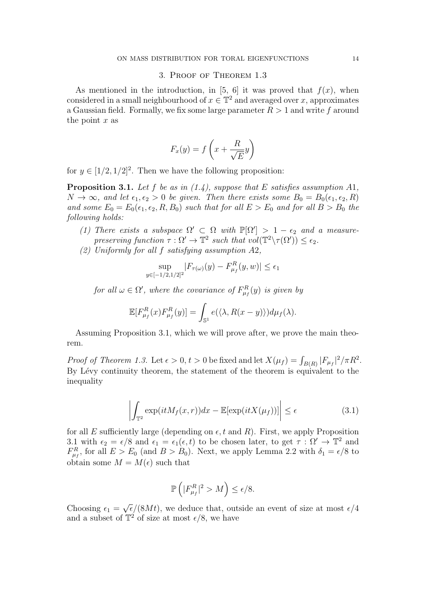# 3. Proof of Theorem [1.3](#page-3-0)

As mentioned in the introduction, in [\[5,](#page-17-2) [6\]](#page-17-3) it was proved that  $f(x)$ , when considered in a small neighbourhood of  $x \in \mathbb{T}^2$  and averaged over x, approximates a Gaussian field. Formally, we fix some large parameter  $R > 1$  and write f around the point  $x$  as

$$
F_x(y) = f\left(x + \frac{R}{\sqrt{E}}y\right)
$$

for  $y \in [1/2, 1/2]^2$ . Then we have the following proposition:

<span id="page-13-0"></span>**Proposition 3.1.** Let f be as in  $(1.4)$ , suppose that E satisfies assumption A1,  $N \to \infty$ , and let  $\epsilon_1, \epsilon_2 > 0$  be given. Then there exists some  $B_0 = B_0(\epsilon_1, \epsilon_2, R)$ and some  $E_0 = E_0(\epsilon_1, \epsilon_2, R, B_0)$  such that for all  $E > E_0$  and for all  $B > B_0$  the following holds:

- (1) There exists a subspace  $\Omega' \subset \Omega$  with  $\mathbb{P}[\Omega'] > 1 \epsilon_2$  and a measurepreserving function  $\tau : \Omega' \to \mathbb{T}^2$  such that  $vol(\mathbb{T}^2 \setminus \tau(\Omega')) \leq \epsilon_2$ .
- (2) Uniformly for all f satisfying assumption A2,

$$
\sup_{y \in [-1/2, 1/2]^2} |F_{\tau(\omega)}(y) - F_{\mu_f}^R(y, w)| \le \epsilon_1
$$

for all  $\omega \in \Omega'$ , where the covariance of  $F_{\mu_f}^R(y)$  is given by

$$
\mathbb{E}[F_{\mu_f}^R(x)F_{\mu_f}^R(y)]=\int_{\mathbb{S}^1}e(\langle \lambda, R(x-y)\rangle)d\mu_f(\lambda).
$$

Assuming Proposition [3.1,](#page-13-0) which we will prove after, we prove the main theorem.

Proof of Theorem [1.3.](#page-3-0) Let  $\epsilon > 0$ ,  $t > 0$  be fixed and let  $X(\mu_f) = \int_{B(R)} |F_{\mu_f}|^2 / \pi R^2$ . By Lévy continuity theorem, the statement of the theorem is equivalent to the inequality

$$
\left| \int_{\mathbb{T}^2} \exp(itM_f(x,r))dx - \mathbb{E}[\exp(itX(\mu_f))]\right| \le \epsilon \tag{3.1}
$$

for all E sufficiently large (depending on  $\epsilon$ , t and R). First, we apply Proposition [3.1](#page-13-0) with  $\epsilon_2 = \epsilon/8$  and  $\epsilon_1 = \epsilon_1(\epsilon, t)$  to be chosen later, to get  $\tau : \Omega' \to \mathbb{T}^2$  and  $F_{\mu_f}^R$ , for all  $E > E_0$  (and  $B > B_0$ ). Next, we apply Lemma [2.2](#page-5-1) with  $\delta_1 = \epsilon/8$  to obtain some  $M = M(\epsilon)$  such that

<span id="page-13-1"></span>
$$
\mathbb{P}\left(|F_{\mu_f}^R|^2 > M\right) \le \epsilon/8.
$$

Choosing  $\epsilon_1$  = √  $\epsilon/(8Mt)$ , we deduce that, outside an event of size at most  $\epsilon/4$ and a subset of  $\mathbb{T}^2$  of size at most  $\epsilon/8$ , we have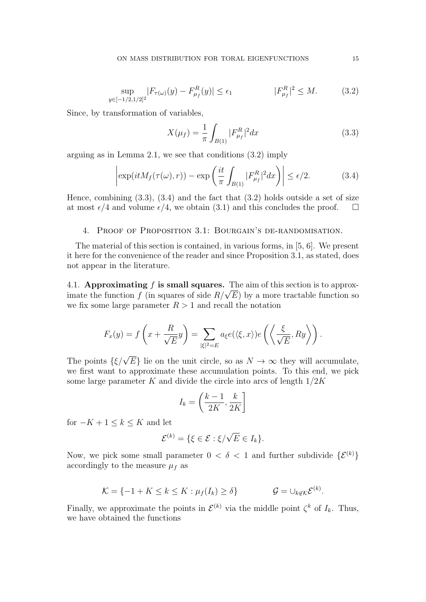$$
\sup_{y \in [-1/2, 1/2]^2} |F_{\tau(\omega)}(y) - F_{\mu_f}^R(y)| \le \epsilon_1
$$
\n
$$
|F_{\mu_f}^R|^2 \le M. \tag{3.2}
$$

Since, by transformation of variables,

<span id="page-14-2"></span><span id="page-14-1"></span><span id="page-14-0"></span>
$$
X(\mu_f) = \frac{1}{\pi} \int_{B(1)} |F_{\mu_f}^R|^2 dx \tag{3.3}
$$

arguing as in Lemma [2.1,](#page-5-0) we see that conditions [\(3.2\)](#page-14-0) imply

$$
\left| \exp(itM_f(\tau(\omega),r)) - \exp\left(\frac{it}{\pi} \int_{B(1)} |F_{\mu_f}^R|^2 dx\right) \right| \le \epsilon/2. \tag{3.4}
$$

Hence, combining  $(3.3)$ ,  $(3.4)$  and the fact that  $(3.2)$  holds outside a set of size at most  $\epsilon/4$  and volume  $\epsilon/4$ , we obtain [\(3.1\)](#page-13-1) and this concludes the proof.  $\square$ 

# 4. Proof of Proposition [3.1:](#page-13-0) Bourgain's de-randomisation.

The material of this section is contained, in various forms, in [\[5,](#page-17-2) [6\]](#page-17-3). We present it here for the convenience of the reader and since Proposition [3.1,](#page-13-0) as stated, does not appear in the literature.

4.1. Approximating f is small squares. The aim of this section is to approx-4.1. Approximating f is small squares. The aim of this section is to approximate the function  $f$  (in squares of side  $R/\sqrt{E}$ ) by a more tractable function so we fix some large parameter  $R > 1$  and recall the notation

$$
F_x(y) = f\left(x + \frac{R}{\sqrt{E}}y\right) = \sum_{|\xi|^2 = E} a_{\xi}e(\langle \xi, x \rangle)e\left(\left\langle \frac{\xi}{\sqrt{E}}, Ry\right\rangle\right).
$$

The points  $\{\xi/\sqrt{E}\}\$ lie on the unit circle, so as  $N \to \infty$  they will accumulate, we first want to approximate these accumulation points. To this end, we pick some large parameter K and divide the circle into arcs of length  $1/2K$ 

$$
I_k = \left(\frac{k-1}{2K}, \frac{k}{2K}\right]
$$

for  $-K+1 \leq k \leq K$  and let

$$
\mathcal{E}^{(k)} = \{ \xi \in \mathcal{E} : \xi/\sqrt{E} \in I_k \}.
$$

Now, we pick some small parameter  $0 < \delta < 1$  and further subdivide  $\{\mathcal{E}^{(k)}\}$ accordingly to the measure  $\mu_f$  as

$$
\mathcal{K} = \{-1 + K \le k \le K : \mu_f(I_k) \ge \delta\} \qquad \mathcal{G} = \cup_{k \notin \mathcal{K}} \mathcal{E}^{(k)}.
$$

Finally, we approximate the points in  $\mathcal{E}^{(k)}$  via the middle point  $\zeta^k$  of  $I_k$ . Thus, we have obtained the functions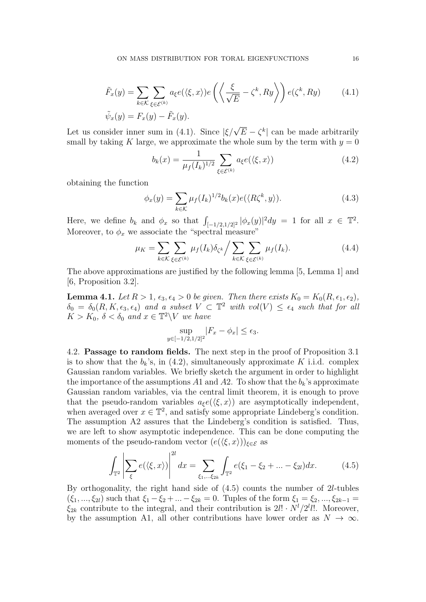$$
\tilde{F}_x(y) = \sum_{k \in \mathcal{K}} \sum_{\xi \in \mathcal{E}^{(k)}} a_{\xi} e(\langle \xi, x \rangle) e\left(\left\langle \frac{\xi}{\sqrt{E}} - \zeta^k, Ry \right\rangle\right) e(\zeta^k, Ry) \tag{4.1}
$$
\n
$$
\tilde{\psi}_x(y) = F_x(y) - \tilde{F}_x(y).
$$

Let us consider inner sum in [\(4.1\)](#page-15-1). Since  $|\xi/\sqrt{E} - \zeta^k|$  can be made arbitrarily small by taking K large, we approximate the whole sum by the term with  $y = 0$ 

<span id="page-15-4"></span><span id="page-15-2"></span><span id="page-15-1"></span>
$$
b_k(x) = \frac{1}{\mu_f(I_k)^{1/2}} \sum_{\xi \in \mathcal{E}^{(k)}} a_{\xi} e(\langle \xi, x \rangle)
$$
\n(4.2)

obtaining the function

$$
\phi_x(y) = \sum_{k \in \mathcal{K}} \mu_f(I_k)^{1/2} b_k(x) e(\langle R\zeta^k, y \rangle). \tag{4.3}
$$

Here, we define  $b_k$  and  $\phi_x$  so that  $\int_{[-1/2,1/2]^2} |\phi_x(y)|^2 dy = 1$  for all  $x \in \mathbb{T}^2$ . Moreover, to  $\phi_x$  we associate the "spectral measure"

$$
\mu_K = \sum_{k \in \mathcal{K}} \sum_{\xi \in \mathcal{E}^{(k)}} \mu_f(I_k) \delta_{\zeta^k} / \sum_{k \in \mathcal{K}} \sum_{\xi \in \mathcal{E}^{(k)}} \mu_f(I_k). \tag{4.4}
$$

The above approximations are justified by the following lemma [\[5,](#page-17-2) Lemma 1] and [\[6,](#page-17-3) Proposition 3.2].

<span id="page-15-6"></span>**Lemma 4.1.** Let  $R > 1$ ,  $\epsilon_3$ ,  $\epsilon_4 > 0$  be given. Then there exists  $K_0 = K_0(R, \epsilon_1, \epsilon_2)$ ,  $\delta_0 = \delta_0(R, K, \epsilon_3, \epsilon_4)$  and a subset  $V \subset \mathbb{T}^2$  with  $vol(V) \leq \epsilon_4$  such that for all  $K > K_0$ ,  $\delta < \delta_0$  and  $x \in \mathbb{T}^2 \backslash V$  we have

<span id="page-15-5"></span><span id="page-15-3"></span>
$$
\sup_{y \in [-1/2, 1/2]^2} |F_x - \phi_x| \le \epsilon_3.
$$

<span id="page-15-0"></span>4.2. Passage to random fields. The next step in the proof of Proposition [3.1](#page-13-0) is to show that the  $b_k$ 's, in [\(4.2\)](#page-15-2), simultaneously approximate K i.i.d. complex Gaussian random variables. We briefly sketch the argument in order to highlight the importance of the assumptions A1 and A2. To show that the  $b_k$ 's approximate Gaussian random variables, via the central limit theorem, it is enough to prove that the pseudo-random variables  $a_{\xi}e(\langle \xi, x \rangle)$  are asymptotically independent, when averaged over  $x \in \mathbb{T}^2$ , and satisfy some appropriate Lindeberg's condition. The assumption A2 assures that the Lindeberg's condition is satisfied. Thus, we are left to show asymptotic independence. This can be done computing the moments of the pseudo-random vector  $(e(\langle \xi, x \rangle))_{\xi \in \mathcal{E}}$  as

$$
\int_{\mathbb{T}^2} \left| \sum_{\xi} e(\langle \xi, x \rangle) \right|^{2l} dx = \sum_{\xi_1, \dots, \xi_{2k}} \int_{\mathbb{T}^2} e(\xi_1 - \xi_2 + \dots - \xi_{2l}) dx. \tag{4.5}
$$

By orthogonality, the right hand side of [\(4.5\)](#page-15-3) counts the number of 2l-tubles  $(\xi_1, ..., \xi_{2l})$  such that  $\xi_1 - \xi_2 + ... - \xi_{2k} = 0$ . Tuples of the form  $\xi_1 = \xi_2, ..., \xi_{2k-1} =$  $\xi_{2k}$  contribute to the integral, and their contribution is  $2l! \cdot N^{l}/2^{l}l!$ . Moreover, by the assumption A1, all other contributions have lower order as  $N \to \infty$ .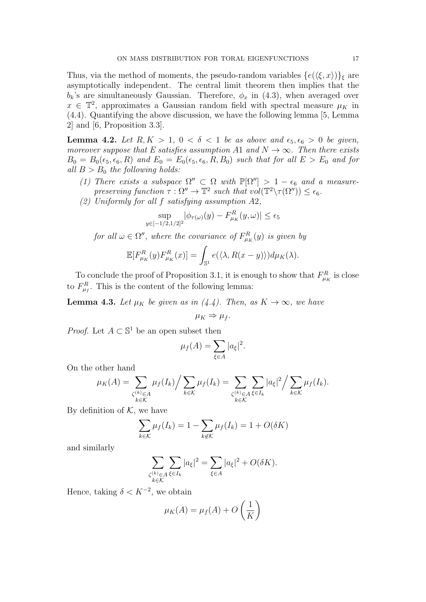Thus, via the method of moments, the pseudo-random variables  $\{e(\langle \xi, x \rangle)\}\xi$  are asymptotically independent. The central limit theorem then implies that the  $b_k$ 's are simultaneously Gaussian. Therefore,  $\phi_x$  in [\(4.3\)](#page-15-4), when averaged over  $x \in \mathbb{T}^2$ , approximates a Gaussian random field with spectral measure  $\mu_K$  in [\(4.4\)](#page-15-5). Quantifying the above discussion, we have the following lemma [\[5,](#page-17-2) Lemma 2] and [\[6,](#page-17-3) Proposition 3.3].

<span id="page-16-1"></span>**Lemma 4.2.** Let  $R, K > 1, 0 < \delta < 1$  be as above and  $\epsilon_5, \epsilon_6 > 0$  be given, moreover suppose that E satisfies assumption A1 and  $N \to \infty$ . Then there exists  $B_0 = B_0(\epsilon_5, \epsilon_6, R)$  and  $E_0 = E_0(\epsilon_5, \epsilon_6, R, B_0)$  such that for all  $E > E_0$  and for all  $B > B_0$  the following holds:

- (1) There exists a subspace  $\Omega'' \subset \Omega$  with  $\mathbb{P}[\Omega''] > 1 \epsilon_6$  and a measurepreserving function  $\tau : \Omega'' \to \mathbb{T}^2$  such that  $vol(\mathbb{T}^2 \setminus \tau(\Omega'')) \leq \epsilon_6$ .
- (2) Uniformly for all f satisfying assumption A2,

$$
\sup_{y \in [-1/2, 1/2]^2} |\phi_{\tau(\omega)}(y) - F_{\mu_K}^R(y, \omega)| \le \epsilon_5
$$

for all  $\omega \in \Omega''$ , where the covariance of  $F_{\mu_K}^R(y)$  is given by

$$
\mathbb{E}[F_{\mu_K}^R(y)F_{\mu_K}^R(x)] = \int_{\mathbb{S}^1} e(\langle \lambda, R(x-y) \rangle) d\mu_K(\lambda).
$$

To conclude the proof of Proposition [3.1,](#page-13-0) it is enough to show that  $F_{\mu_K}^R$  is close to  $F_{\mu_f}^R$ . This is the content of the following lemma:

<span id="page-16-0"></span>**Lemma 4.3.** Let  $\mu_K$  be given as in [\(4.4\)](#page-15-5). Then, as  $K \to \infty$ , we have

$$
\mu_K \Rightarrow \mu_f.
$$

*Proof.* Let  $A \subset \mathbb{S}^1$  be an open subset then

$$
\mu_f(A) = \sum_{\xi \in A} |a_{\xi}|^2.
$$

On the other hand

$$
\mu_K(A) = \sum_{\zeta^{(k)} \in A \atop k \in \mathcal{K}} \mu_f(I_k) / \sum_{k \in \mathcal{K}} \mu_f(I_k) = \sum_{\zeta^{(k)} \in A \atop k \in \mathcal{K}} \sum_{\xi \in I_k} |a_{\xi}|^2 / \sum_{k \in \mathcal{K}} \mu_f(I_k).
$$

By definition of  $K$ , we have

$$
\sum_{k \in \mathcal{K}} \mu_f(I_k) = 1 - \sum_{k \notin \mathcal{K}} \mu_f(I_k) = 1 + O(\delta K)
$$

and similarly

$$
\sum_{\substack{\zeta^{(k)} \in A \\ k \in \mathcal{K}}} \sum_{\xi \in I_k} |a_{\xi}|^2 = \sum_{\xi \in A} |a_{\xi}|^2 + O(\delta K).
$$

Hence, taking  $\delta < K^{-2}$ , we obtain

$$
\mu_K(A) = \mu_f(A) + O\left(\frac{1}{K}\right)
$$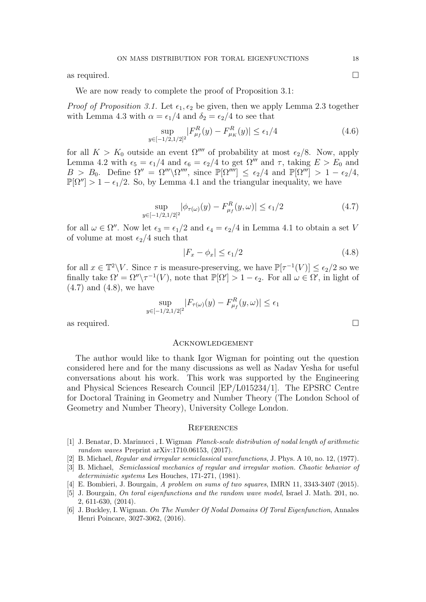as required.  $\Box$ 

We are now ready to complete the proof of Proposition [3.1:](#page-13-0)

*Proof of Proposition [3.1.](#page-13-0)* Let  $\epsilon_1, \epsilon_2$  be given, then we apply Lemma [2.3](#page-6-0) together with Lemma [4.3](#page-16-0) with  $\alpha = \epsilon_1/4$  and  $\delta_2 = \epsilon_2/4$  to see that

$$
\sup_{y \in [-1/2, 1/2]^2} |F_{\mu_f}^R(y) - F_{\mu_K}^R(y)| \le \epsilon_1/4 \tag{4.6}
$$

for all  $K > K_0$  outside an event  $\Omega''''$  of probability at most  $\epsilon_2/8$ . Now, apply Lemma [4.2](#page-16-1) with  $\epsilon_5 = \epsilon_1/4$  and  $\epsilon_6 = \epsilon_2/4$  to get  $\Omega^{m}$  and  $\tau$ , taking  $E > E_0$  and  $B > B_0$ . Define  $\Omega'' = \Omega''' \backslash \Omega''''$ , since  $\mathbb{P}[\Omega'''] \leq \epsilon_2/4$  and  $\mathbb{P}[\Omega'''] > 1 - \epsilon_2/4$ ,  $\mathbb{P}[\Omega''] > 1 - \epsilon_1/2$ . So, by Lemma [4.1](#page-15-6) and the triangular inequality, we have

$$
\sup_{y \in [-1/2, 1/2]^2} |\phi_{\tau(\omega)}(y) - F_{\mu_f}^R(y, \omega)| \le \epsilon_1/2 \tag{4.7}
$$

for all  $\omega \in \Omega''$ . Now let  $\epsilon_3 = \epsilon_1/2$  and  $\epsilon_4 = \epsilon_2/4$  in Lemma [4.1](#page-15-6) to obtain a set V of volume at most  $\epsilon_2/4$  such that

<span id="page-17-7"></span><span id="page-17-6"></span>
$$
|F_x - \phi_x| \le \epsilon_1/2 \tag{4.8}
$$

for all  $x \in \mathbb{T}^2 \backslash V$ . Since  $\tau$  is measure-preserving, we have  $\mathbb{P}[\tau^{-1}(V)] \leq \epsilon_2/2$  so we finally take  $\Omega' = \Omega'' \setminus \tau^{-1}(V)$ , note that  $\mathbb{P}[\Omega'] > 1 - \epsilon_2$ . For all  $\omega \in \Omega'$ , in light of [\(4.7\)](#page-17-6) and [\(4.8\)](#page-17-7), we have

$$
\sup_{y \in [-1/2, 1/2]^2} |F_{\tau(\omega)}(y) - F_{\mu_f}^R(y, \omega)| \le \epsilon_1
$$

as required.  $\Box$ 

### Acknowledgement

The author would like to thank Igor Wigman for pointing out the question considered here and for the many discussions as well as Nadav Yesha for useful conversations about his work. This work was supported by the Engineering and Physical Sciences Research Council [EP/L015234/1]. The EPSRC Centre for Doctoral Training in Geometry and Number Theory (The London School of Geometry and Number Theory), University College London.

#### **REFERENCES**

- <span id="page-17-5"></span>[1] J. Benatar, D. Marinucci , I. Wigman Planck-scale distribution of nodal length of arithmetic random waves Preprint arXiv:1710.06153, (2017).
- <span id="page-17-0"></span>[2] B. Michael, Regular and irregular semiclassical wavefunctions, J. Phys. A 10, no. 12, (1977).
- <span id="page-17-1"></span>[3] B. Michael, Semiclassical mechanics of regular and irregular motion. Chaotic behavior of deterministic systems Les Houches, 171-271, (1981).
- <span id="page-17-4"></span>[4] E. Bombieri, J. Bourgain, A problem on sums of two squares, IMRN 11, 3343-3407 (2015).
- <span id="page-17-2"></span>[5] J. Bourgain, On toral eigenfunctions and the random wave model, Israel J. Math. 201, no. 2, 611-630, (2014).
- <span id="page-17-3"></span>[6] J. Buckley, I. Wigman. On The Number Of Nodal Domains Of Toral Eigenfunction, Annales Henri Poincare, 3027-3062, (2016).